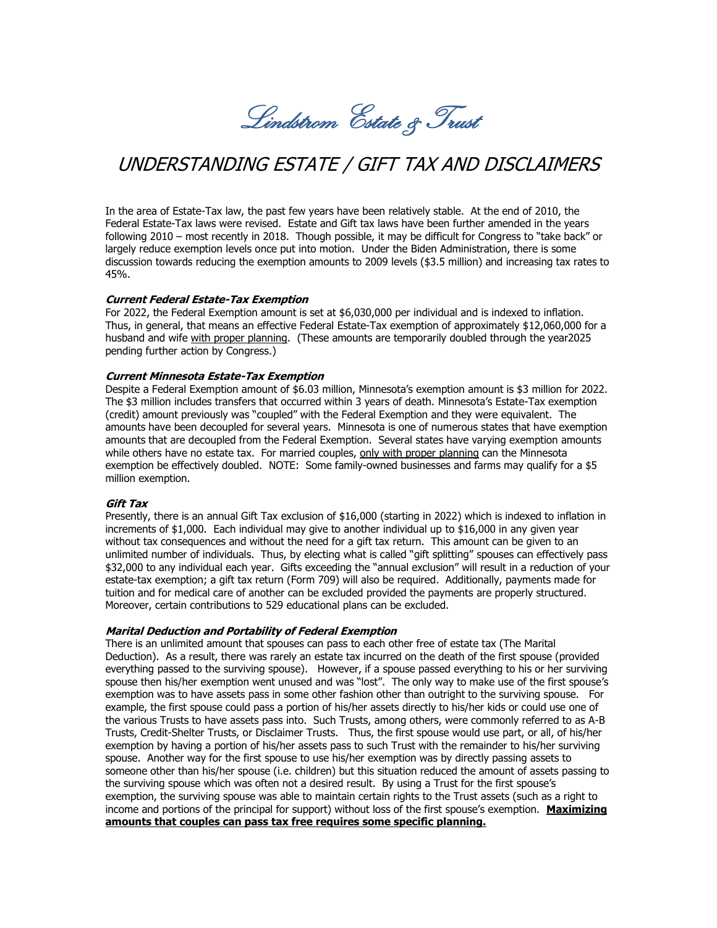Lindstrom Estate & Trust

# UNDERSTANDING ESTATE / GIFT TAX AND DISCLAIMERS

In the area of Estate-Tax law, the past few years have been relatively stable. At the end of 2010, the Federal Estate-Tax laws were revised. Estate and Gift tax laws have been further amended in the years following 2010 – most recently in 2018. Though possible, it may be difficult for Congress to "take back" or largely reduce exemption levels once put into motion. Under the Biden Administration, there is some discussion towards reducing the exemption amounts to 2009 levels (\$3.5 million) and increasing tax rates to 45%.

### **Current Federal Estate-Tax Exemption**

For 2022, the Federal Exemption amount is set at \$6,030,000 per individual and is indexed to inflation. Thus, in general, that means an effective Federal Estate-Tax exemption of approximately \$12,060,000 for a husband and wife with proper planning. (These amounts are temporarily doubled through the year2025 pending further action by Congress.)

#### **Current Minnesota Estate-Tax Exemption**

Despite a Federal Exemption amount of \$6.03 million, Minnesota's exemption amount is \$3 million for 2022. The \$3 million includes transfers that occurred within 3 years of death. Minnesota's Estate-Tax exemption (credit) amount previously was "coupled" with the Federal Exemption and they were equivalent. The amounts have been decoupled for several years. Minnesota is one of numerous states that have exemption amounts that are decoupled from the Federal Exemption. Several states have varying exemption amounts while others have no estate tax. For married couples, only with proper planning can the Minnesota exemption be effectively doubled. NOTE: Some family-owned businesses and farms may qualify for a \$5 million exemption.

#### **Gift Tax**

Presently, there is an annual Gift Tax exclusion of \$16,000 (starting in 2022) which is indexed to inflation in increments of \$1,000. Each individual may give to another individual up to \$16,000 in any given year without tax consequences and without the need for a gift tax return. This amount can be given to an unlimited number of individuals. Thus, by electing what is called "gift splitting" spouses can effectively pass \$32,000 to any individual each year. Gifts exceeding the "annual exclusion" will result in a reduction of your estate-tax exemption; a gift tax return (Form 709) will also be required. Additionally, payments made for tuition and for medical care of another can be excluded provided the payments are properly structured. Moreover, certain contributions to 529 educational plans can be excluded.

#### **Marital Deduction and Portability of Federal Exemption**

There is an unlimited amount that spouses can pass to each other free of estate tax (The Marital Deduction). As a result, there was rarely an estate tax incurred on the death of the first spouse (provided everything passed to the surviving spouse). However, if a spouse passed everything to his or her surviving spouse then his/her exemption went unused and was "lost". The only way to make use of the first spouse's exemption was to have assets pass in some other fashion other than outright to the surviving spouse. For example, the first spouse could pass a portion of his/her assets directly to his/her kids or could use one of the various Trusts to have assets pass into. Such Trusts, among others, were commonly referred to as A-B Trusts, Credit-Shelter Trusts, or Disclaimer Trusts. Thus, the first spouse would use part, or all, of his/her exemption by having a portion of his/her assets pass to such Trust with the remainder to his/her surviving spouse. Another way for the first spouse to use his/her exemption was by directly passing assets to someone other than his/her spouse (i.e. children) but this situation reduced the amount of assets passing to the surviving spouse which was often not a desired result. By using a Trust for the first spouse's exemption, the surviving spouse was able to maintain certain rights to the Trust assets (such as a right to income and portions of the principal for support) without loss of the first spouse's exemption. **Maximizing amounts that couples can pass tax free requires some specific planning.**